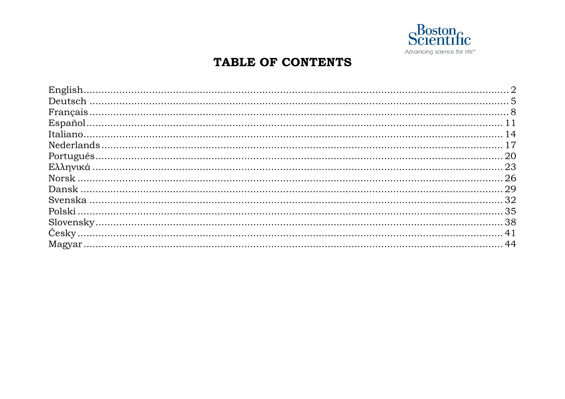

### TABLE OF CONTENTS

| $Español11$ |  |
|-------------|--|
|             |  |
|             |  |
|             |  |
|             |  |
|             |  |
|             |  |
|             |  |
|             |  |
|             |  |
|             |  |
|             |  |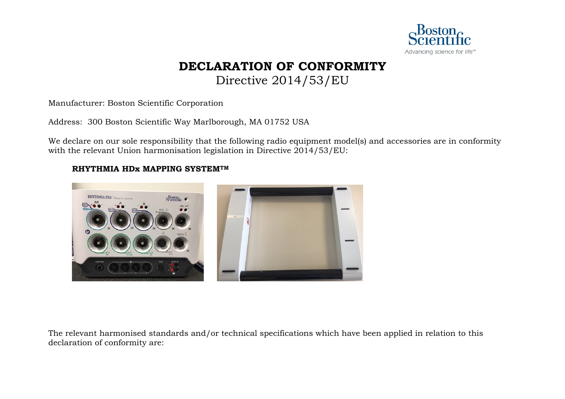

## **DECLARATION OF CONFORMITY**

Directive 2014/53/EU

<span id="page-1-0"></span>Manufacturer: Boston Scientific Corporation

Address: 300 Boston Scientific Way Marlborough, MA 01752 USA

We declare on our sole responsibility that the following radio equipment model(s) and accessories are in conformity with the relevant Union harmonisation legislation in Directive 2014/53/EU:

### **RHYTHMIA HDx MAPPING SYSTEMTM**



The relevant harmonised standards and/or technical specifications which have been applied in relation to this declaration of conformity are: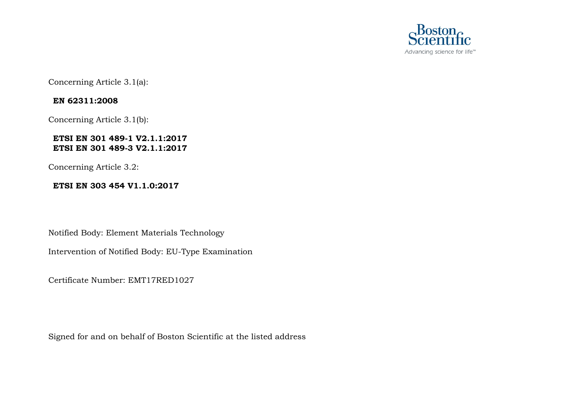

Concerning Article 3.1(a):

### **EN 62311:2008**

Concerning Article 3.1(b):

### **ETSI EN 301 489-1 V2.1.1:2017 ETSI EN 301 489-3 V2.1.1:2017**

Concerning Article 3.2:

### **ETSI EN 303 454 V1.1.0:2017**

Notified Body: Element Materials Technology

Intervention of Notified Body: EU-Type Examination

Certificate Number: EMT17RED1027

Signed for and on behalf of Boston Scientific at the listed address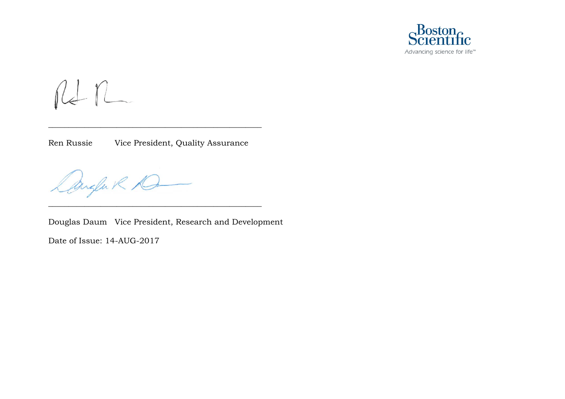

 $n n$ 

Ren Russie Vice President, Quality Assurance

\_\_\_\_\_\_\_\_\_\_\_\_\_\_\_\_\_\_\_\_\_\_\_\_\_\_\_\_\_\_\_\_\_\_\_\_\_\_\_\_\_\_\_\_\_\_\_\_\_\_\_\_\_

Dangen R D

Douglas Daum Vice President, Research and Development

\_\_\_\_\_\_\_\_\_\_\_\_\_\_\_\_\_\_\_\_\_\_\_\_\_\_\_\_\_\_\_\_\_\_\_\_\_\_\_\_\_\_\_\_\_\_\_\_\_\_\_\_\_

Date of Issue: 14-AUG-2017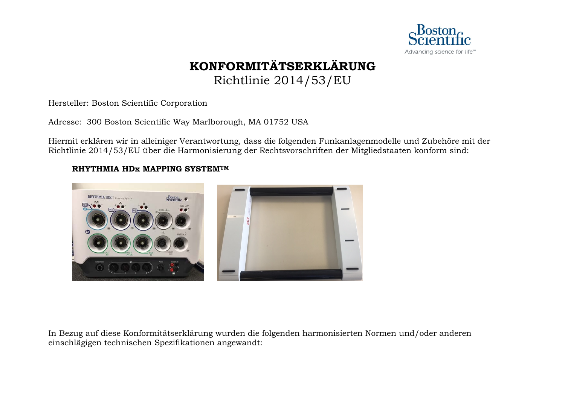

### **KONFORMITÄTSERKLÄRUNG** Richtlinie 2014/53/EU

<span id="page-4-0"></span>Hersteller: Boston Scientific Corporation

Adresse: 300 Boston Scientific Way Marlborough, MA 01752 USA

Hiermit erklären wir in alleiniger Verantwortung, dass die folgenden Funkanlagenmodelle und Zubehöre mit der Richtlinie 2014/53/EU über die Harmonisierung der Rechtsvorschriften der Mitgliedstaaten konform sind:

### **RHYTHMIA HDx MAPPING SYSTEMTM**



In Bezug auf diese Konformitätserklärung wurden die folgenden harmonisierten Normen und/oder anderen einschlägigen technischen Spezifikationen angewandt: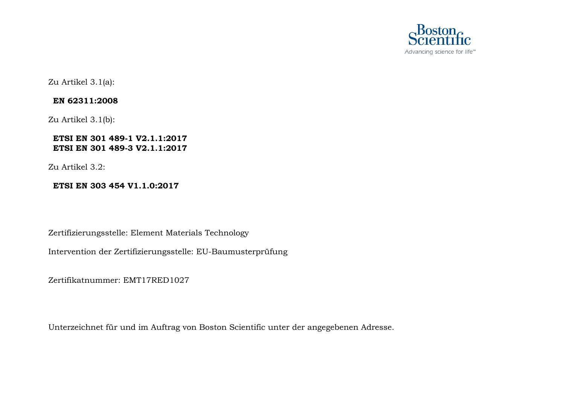

Zu Artikel 3.1(a):

### **EN 62311:2008**

Zu Artikel 3.1(b):

### **ETSI EN 301 489-1 V2.1.1:2017 ETSI EN 301 489-3 V2.1.1:2017**

Zu Artikel 3.2:

### **ETSI EN 303 454 V1.1.0:2017**

Zertifizierungsstelle: Element Materials Technology

Intervention der Zertifizierungsstelle: EU-Baumusterprüfung

Zertifikatnummer: EMT17RED1027

Unterzeichnet für und im Auftrag von Boston Scientific unter der angegebenen Adresse.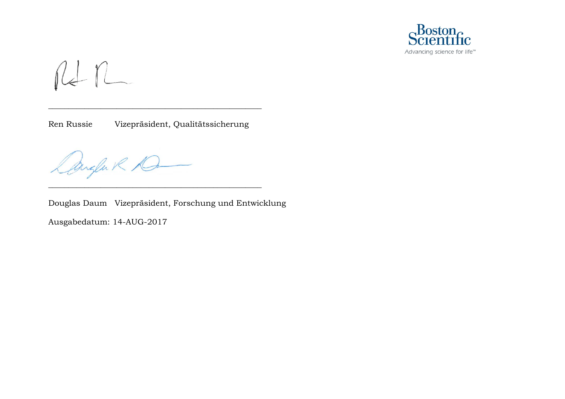

 $n+n$ 

Ren Russie Vizepräsident, Qualitätssicherung

\_\_\_\_\_\_\_\_\_\_\_\_\_\_\_\_\_\_\_\_\_\_\_\_\_\_\_\_\_\_\_\_\_\_\_\_\_\_\_\_\_\_\_\_\_\_\_\_\_\_\_\_\_

\_\_\_\_\_\_\_\_\_\_\_\_\_\_\_\_\_\_\_\_\_\_\_\_\_\_\_\_\_\_\_\_\_\_\_\_\_\_\_\_\_\_\_\_\_\_\_\_\_\_\_\_\_

Dangen R D

Douglas Daum Vizepräsident, Forschung und Entwicklung

Ausgabedatum: 14-AUG-2017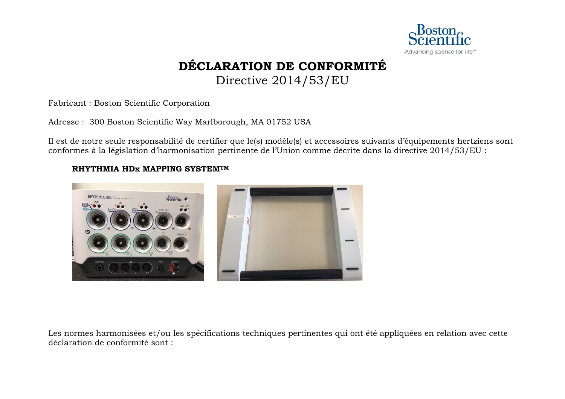

## **DÉCLARATION DE CONFORMITÉ**

Directive 2014/53/EU

<span id="page-7-0"></span>Fabricant : Boston Scientific Corporation

Adresse : 300 Boston Scientific Way Marlborough, MA 01752 USA

Il est de notre seule responsabilité de certifier que le(s) modèle(s) et accessoires suivants d'équipements hertziens sont conformes à la législation d'harmonisation pertinente de l'Union comme décrite dans la directive 2014/53/EU :

### **RHYTHMIA HDx MAPPING SYSTEMTM**



Les normes harmonisées et/ou les spécifications techniques pertinentes qui ont été appliquées en relation avec cette déclaration de conformité sont :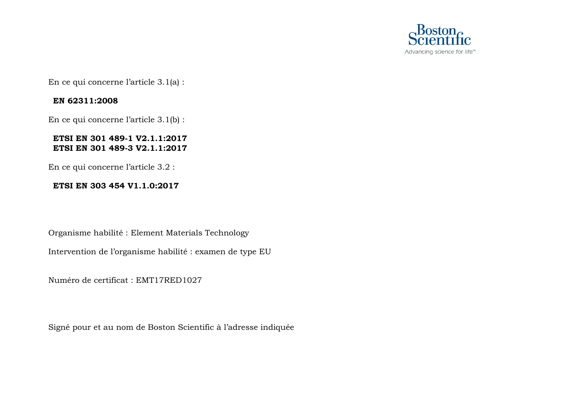

En ce qui concerne l'article 3.1(a) :

### **EN 62311:2008**

En ce qui concerne l'article 3.1(b) :

### **ETSI EN 301 489-1 V2.1.1:2017 ETSI EN 301 489-3 V2.1.1:2017**

En ce qui concerne l'article 3.2 :

### **ETSI EN 303 454 V1.1.0:2017**

Organisme habilité : Element Materials Technology

Intervention de l'organisme habilité : examen de type EU

Numéro de certificat : EMT17RED1027

Signé pour et au nom de Boston Scientific à l'adresse indiquée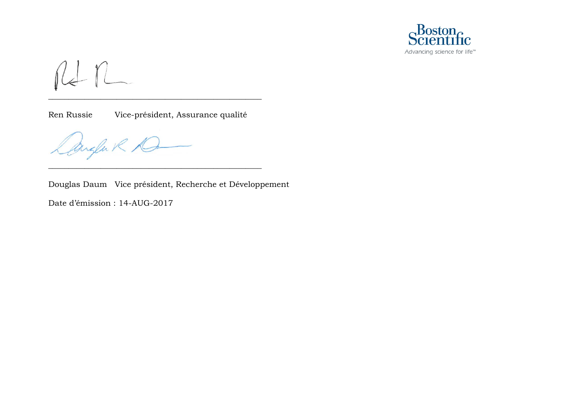

RI n

Ren Russie Vice-président, Assurance qualité

\_\_\_\_\_\_\_\_\_\_\_\_\_\_\_\_\_\_\_\_\_\_\_\_\_\_\_\_\_\_\_\_\_\_\_\_\_\_\_\_\_\_\_\_\_\_\_\_\_\_\_\_\_

\_\_\_\_\_\_\_\_\_\_\_\_\_\_\_\_\_\_\_\_\_\_\_\_\_\_\_\_\_\_\_\_\_\_\_\_\_\_\_\_\_\_\_\_\_\_\_\_\_\_\_\_\_

Angla R 1G

Douglas Daum Vice président, Recherche et Développement

Date d'émission : 14-AUG-2017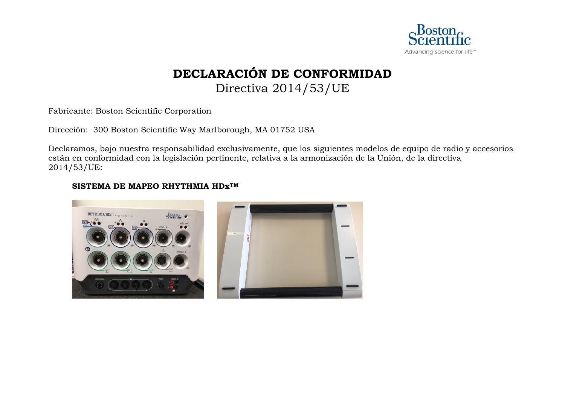

### **DECLARACIÓN DE CONFORMIDAD** Directiva 2014/53/UE

<span id="page-10-0"></span>Fabricante: Boston Scientific Corporation

Dirección: 300 Boston Scientific Way Marlborough, MA 01752 USA

Declaramos, bajo nuestra responsabilidad exclusivamente, que los siguientes modelos de equipo de radio y accesorios están en conformidad con la legislación pertinente, relativa a la armonización de la Unión, de la directiva 2014/53/UE:

### **SISTEMA DE MAPEO RHYTHMIA HDxTM**

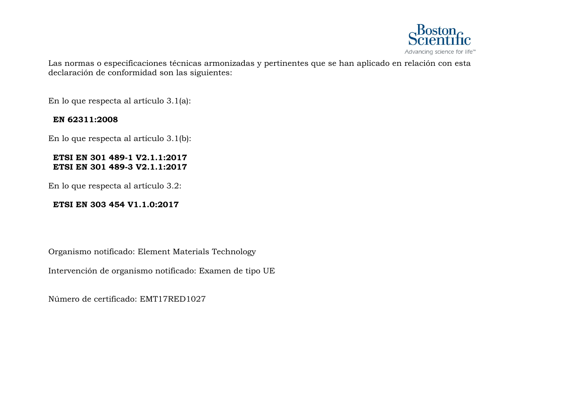

Las normas o especificaciones técnicas armonizadas y pertinentes que se han aplicado en relación con esta declaración de conformidad son las siguientes:

En lo que respecta al artículo 3.1(a):

### **EN 62311:2008**

En lo que respecta al artículo 3.1(b):

#### **ETSI EN 301 489-1 V2.1.1:2017 ETSI EN 301 489-3 V2.1.1:2017**

En lo que respecta al artículo 3.2:

### **ETSI EN 303 454 V1.1.0:2017**

Organismo notificado: Element Materials Technology

Intervención de organismo notificado: Examen de tipo UE

Número de certificado: EMT17RED1027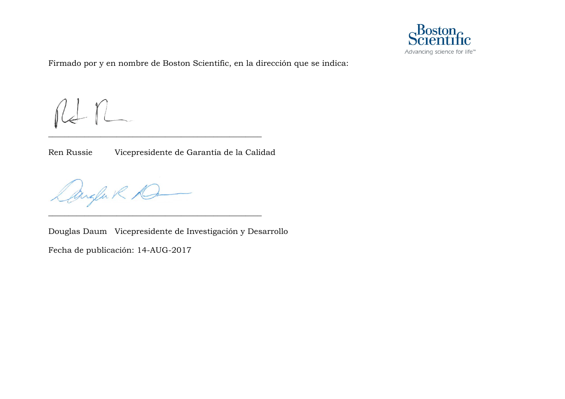

Firmado por y en nombre de Boston Scientific, en la dirección que se indica:

RI n

Ren Russie Vicepresidente de Garantía de la Calidad

\_\_\_\_\_\_\_\_\_\_\_\_\_\_\_\_\_\_\_\_\_\_\_\_\_\_\_\_\_\_\_\_\_\_\_\_\_\_\_\_\_\_\_\_\_\_\_\_\_\_\_\_\_

\_\_\_\_\_\_\_\_\_\_\_\_\_\_\_\_\_\_\_\_\_\_\_\_\_\_\_\_\_\_\_\_\_\_\_\_\_\_\_\_\_\_\_\_\_\_\_\_\_\_\_\_\_

Dangen R D

Douglas Daum Vicepresidente de Investigación y Desarrollo

Fecha de publicación: 14-AUG-2017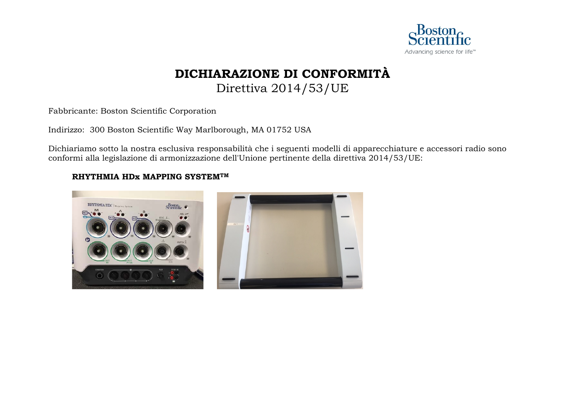

### **DICHIARAZIONE DI CONFORMITÀ** Direttiva 2014/53/UE

<span id="page-13-0"></span>Fabbricante: Boston Scientific Corporation

Indirizzo: 300 Boston Scientific Way Marlborough, MA 01752 USA

Dichiariamo sotto la nostra esclusiva responsabilità che i seguenti modelli di apparecchiature e accessori radio sono conformi alla legislazione di armonizzazione dell'Unione pertinente della direttiva 2014/53/UE:

### **RHYTHMIA HDx MAPPING SYSTEMTM**

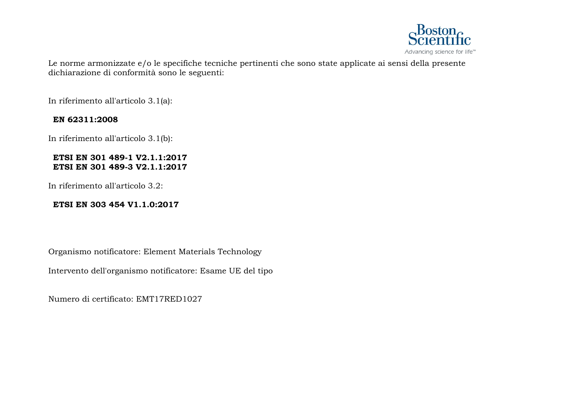

Le norme armonizzate e/o le specifiche tecniche pertinenti che sono state applicate ai sensi della presente dichiarazione di conformità sono le seguenti:

In riferimento all'articolo 3.1(a):

### **EN 62311:2008**

In riferimento all'articolo 3.1(b):

### **ETSI EN 301 489-1 V2.1.1:2017 ETSI EN 301 489-3 V2.1.1:2017**

In riferimento all'articolo 3.2:

### **ETSI EN 303 454 V1.1.0:2017**

Organismo notificatore: Element Materials Technology

Intervento dell'organismo notificatore: Esame UE del tipo

Numero di certificato: EMT17RED1027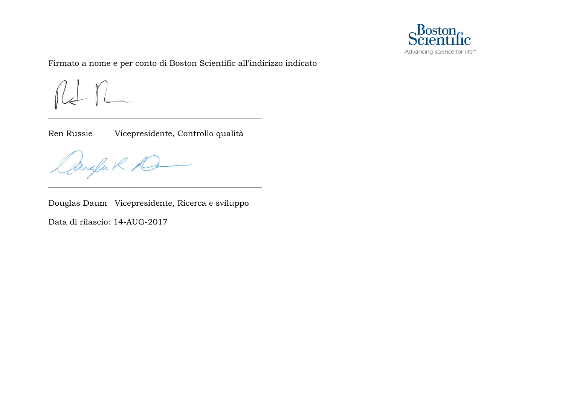

Firmato a nome e per conto di Boston Scientific all'indirizzo indicato

 $f$ 

Ren Russie Vicepresidente, Controllo qualità

\_\_\_\_\_\_\_\_\_\_\_\_\_\_\_\_\_\_\_\_\_\_\_\_\_\_\_\_\_\_\_\_\_\_\_\_\_\_\_\_\_\_\_\_\_\_\_\_\_\_\_\_\_

Angla R D

Douglas Daum Vicepresidente, Ricerca e sviluppo

\_\_\_\_\_\_\_\_\_\_\_\_\_\_\_\_\_\_\_\_\_\_\_\_\_\_\_\_\_\_\_\_\_\_\_\_\_\_\_\_\_\_\_\_\_\_\_\_\_\_\_\_\_

Data di rilascio: 14-AUG-2017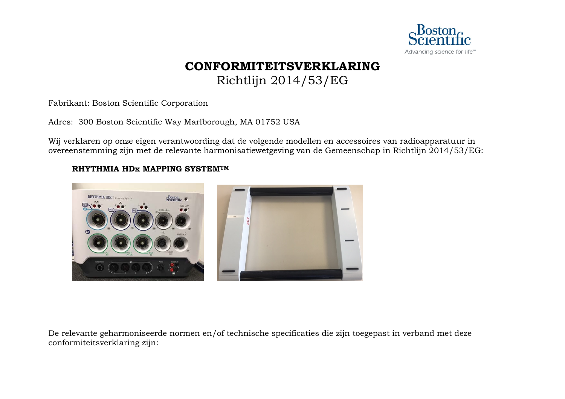

# **CONFORMITEITSVERKLARING**

Richtlijn 2014/53/EG

<span id="page-16-0"></span>Fabrikant: Boston Scientific Corporation

Adres: 300 Boston Scientific Way Marlborough, MA 01752 USA

Wij verklaren op onze eigen verantwoording dat de volgende modellen en accessoires van radioapparatuur in overeenstemming zijn met de relevante harmonisatiewetgeving van de Gemeenschap in Richtlijn 2014/53/EG:

### **RHYTHMIA HDx MAPPING SYSTEMTM**



De relevante geharmoniseerde normen en/of technische specificaties die zijn toegepast in verband met deze conformiteitsverklaring zijn: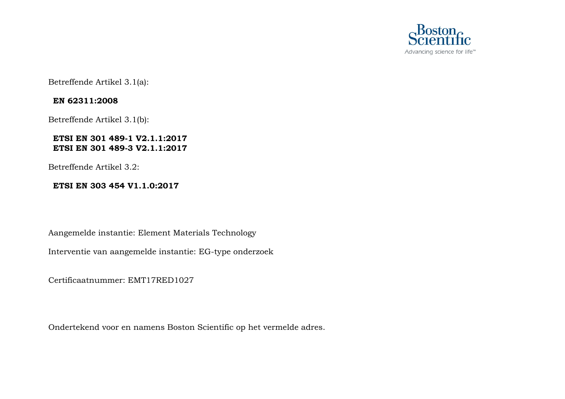

Betreffende Artikel 3.1(a):

### **EN 62311:2008**

Betreffende Artikel 3.1(b):

### **ETSI EN 301 489-1 V2.1.1:2017 ETSI EN 301 489-3 V2.1.1:2017**

Betreffende Artikel 3.2:

### **ETSI EN 303 454 V1.1.0:2017**

Aangemelde instantie: Element Materials Technology

Interventie van aangemelde instantie: EG-type onderzoek

Certificaatnummer: EMT17RED1027

Ondertekend voor en namens Boston Scientific op het vermelde adres.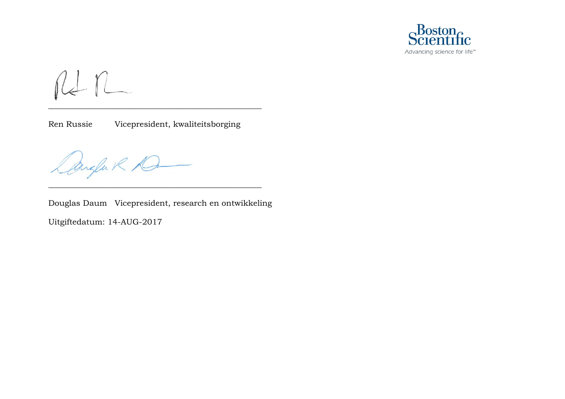

 $n n$ 

Ren Russie Vicepresident, kwaliteitsborging

\_\_\_\_\_\_\_\_\_\_\_\_\_\_\_\_\_\_\_\_\_\_\_\_\_\_\_\_\_\_\_\_\_\_\_\_\_\_\_\_\_\_\_\_\_\_\_\_\_\_\_\_\_

Dangen R D

Douglas Daum Vicepresident, research en ontwikkeling Uitgiftedatum: 14-AUG-2017

\_\_\_\_\_\_\_\_\_\_\_\_\_\_\_\_\_\_\_\_\_\_\_\_\_\_\_\_\_\_\_\_\_\_\_\_\_\_\_\_\_\_\_\_\_\_\_\_\_\_\_\_\_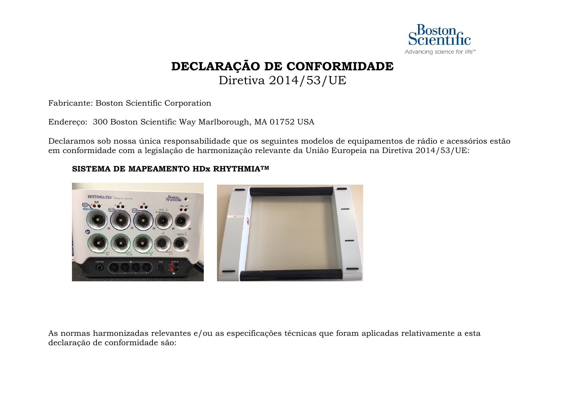

## **DECLARAÇÃO DE CONFORMIDADE**

Diretiva 2014/53/UE

<span id="page-19-0"></span>Fabricante: Boston Scientific Corporation

Endereço: 300 Boston Scientific Way Marlborough, MA 01752 USA

Declaramos sob nossa única responsabilidade que os seguintes modelos de equipamentos de rádio e acessórios estão em conformidade com a legislação de harmonização relevante da União Europeia na Diretiva 2014/53/UE:

### **SISTEMA DE MAPEAMENTO HDx RHYTHMIATM**



As normas harmonizadas relevantes e/ou as especificações técnicas que foram aplicadas relativamente a esta declaração de conformidade são: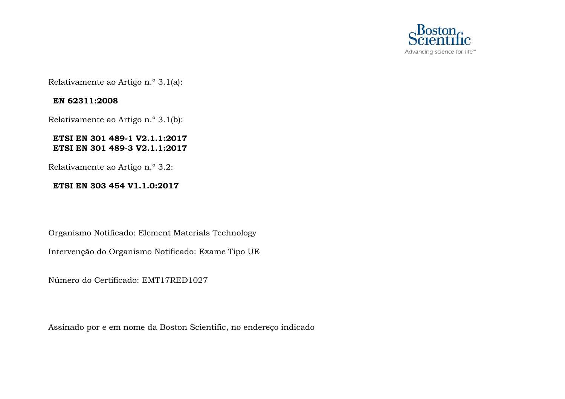

Relativamente ao Artigo n.º 3.1(a):

### **EN 62311:2008**

Relativamente ao Artigo n.º 3.1(b):

### **ETSI EN 301 489-1 V2.1.1:2017 ETSI EN 301 489-3 V2.1.1:2017**

Relativamente ao Artigo n.º 3.2:

### **ETSI EN 303 454 V1.1.0:2017**

Organismo Notificado: Element Materials Technology

Intervenção do Organismo Notificado: Exame Tipo UE

Número do Certificado: EMT17RED1027

Assinado por e em nome da Boston Scientific, no endereço indicado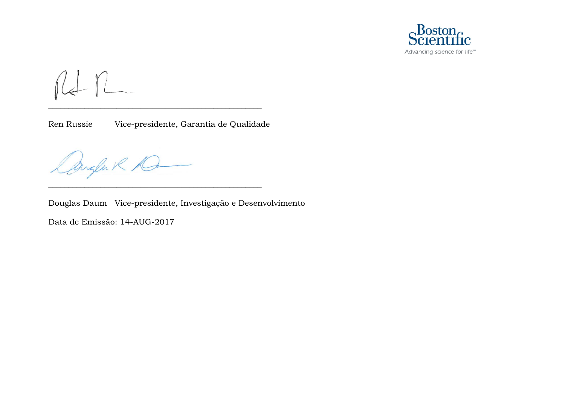

 $n n$ 

Ren Russie Vice-presidente, Garantia de Qualidade

\_\_\_\_\_\_\_\_\_\_\_\_\_\_\_\_\_\_\_\_\_\_\_\_\_\_\_\_\_\_\_\_\_\_\_\_\_\_\_\_\_\_\_\_\_\_\_\_\_\_\_\_\_

\_\_\_\_\_\_\_\_\_\_\_\_\_\_\_\_\_\_\_\_\_\_\_\_\_\_\_\_\_\_\_\_\_\_\_\_\_\_\_\_\_\_\_\_\_\_\_\_\_\_\_\_\_

Cangle R D

Douglas Daum Vice-presidente, Investigação e Desenvolvimento

Data de Emissão: 14-AUG-2017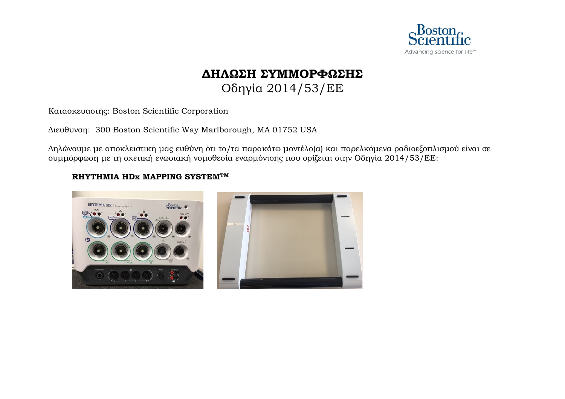

### **ΔΗΛΩΣΗ ΣΥΜΜΟΡΦΩΣΗΣ** Οδηγία 2014/53/EΕ

<span id="page-22-0"></span>Κατασκευαστής: Boston Scientific Corporation

Διεύθυνση: 300 Boston Scientific Way Marlborough, MA 01752 USA

Δηλώνουμε με αποκλειστική μας ευθύνη ότι το/τα παρακάτω μοντέλο(α) και παρελκόμενα ραδιοεξοπλισμού είναι σε συμμόρφωση με τη σχετική ενωσιακή νομοθεσία εναρμόνισης που ορίζεται στην Οδηγία 2014/53/EΕ:

### **RHYTHMIA HDx MAPPING SYSTEMTM**

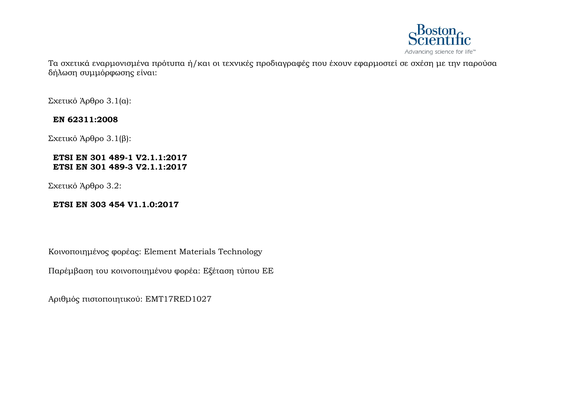

Τα σχετικά εναρμονισμένα πρότυπα ή/και οι τεχνικές προδιαγραφές που έχουν εφαρμοστεί σε σχέση με την παρούσα δήλωση συμμόρφωσης είναι:

Σχετικό Άρθρο 3.1(α):

### **EN 62311:2008**

Σχετικό Άρθρο 3.1(β):

### **ETSI EN 301 489-1 V2.1.1:2017 ETSI EN 301 489-3 V2.1.1:2017**

Σχετικό Άρθρο 3.2:

### **ETSI EN 303 454 V1.1.0:2017**

Κοινοποιημένος φορέας: Element Materials Technology

Παρέμβαση του κοινοποιημένου φορέα: Εξέταση τύπου ΕΕ

Αριθμός πιστοποιητικού: EMT17RED1027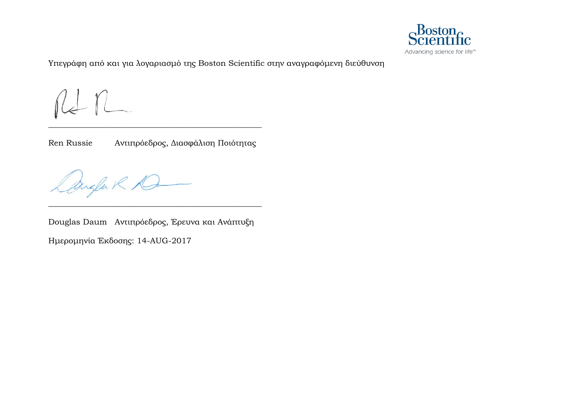

Υπεγράφη από και για λογαριασμό της Boston Scientific στην αναγραφόμενη διεύθυνση

 $\overline{\mathcal{A}}$ 

Ren Russie Αντιπρόεδρος, Διασφάλιση Ποιότητας

\_\_\_\_\_\_\_\_\_\_\_\_\_\_\_\_\_\_\_\_\_\_\_\_\_\_\_\_\_\_\_\_\_\_\_\_\_\_\_\_\_\_\_\_\_\_\_\_\_\_\_\_\_

Augla R AG

Douglas Daum Αντιπρόεδρος, Έρευνα και Ανάπτυξη Ημερομηνία Έκδοσης: 14-AUG-2017

\_\_\_\_\_\_\_\_\_\_\_\_\_\_\_\_\_\_\_\_\_\_\_\_\_\_\_\_\_\_\_\_\_\_\_\_\_\_\_\_\_\_\_\_\_\_\_\_\_\_\_\_\_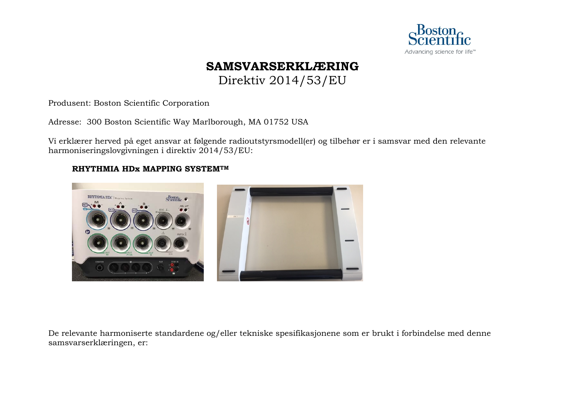

### **SAMSVARSERKLÆRING**

Direktiv 2014/53/EU

<span id="page-25-0"></span>Produsent: Boston Scientific Corporation

Adresse: 300 Boston Scientific Way Marlborough, MA 01752 USA

Vi erklærer herved på eget ansvar at følgende radioutstyrsmodell(er) og tilbehør er i samsvar med den relevante harmoniseringslovgivningen i direktiv 2014/53/EU:

### **RHYTHMIA HDx MAPPING SYSTEMTM**



De relevante harmoniserte standardene og/eller tekniske spesifikasjonene som er brukt i forbindelse med denne samsvarserklæringen, er: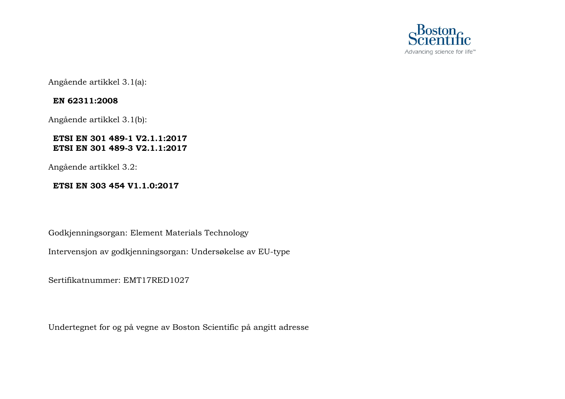

Angående artikkel 3.1(a):

### **EN 62311:2008**

Angående artikkel 3.1(b):

### **ETSI EN 301 489-1 V2.1.1:2017 ETSI EN 301 489-3 V2.1.1:2017**

Angående artikkel 3.2:

### **ETSI EN 303 454 V1.1.0:2017**

Godkjenningsorgan: Element Materials Technology

Intervensjon av godkjenningsorgan: Undersøkelse av EU-type

Sertifikatnummer: EMT17RED1027

Undertegnet for og på vegne av Boston Scientific på angitt adresse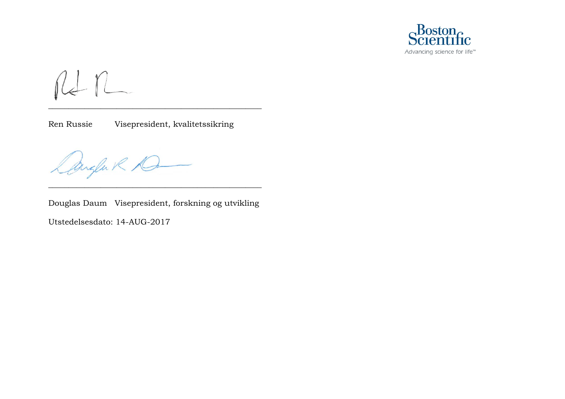

 $n n$ 

Ren Russie Visepresident, kvalitetssikring

\_\_\_\_\_\_\_\_\_\_\_\_\_\_\_\_\_\_\_\_\_\_\_\_\_\_\_\_\_\_\_\_\_\_\_\_\_\_\_\_\_\_\_\_\_\_\_\_\_\_\_\_\_

Cangler R 1G

Douglas Daum Visepresident, forskning og utvikling

\_\_\_\_\_\_\_\_\_\_\_\_\_\_\_\_\_\_\_\_\_\_\_\_\_\_\_\_\_\_\_\_\_\_\_\_\_\_\_\_\_\_\_\_\_\_\_\_\_\_\_\_\_

Utstedelsesdato: 14-AUG-2017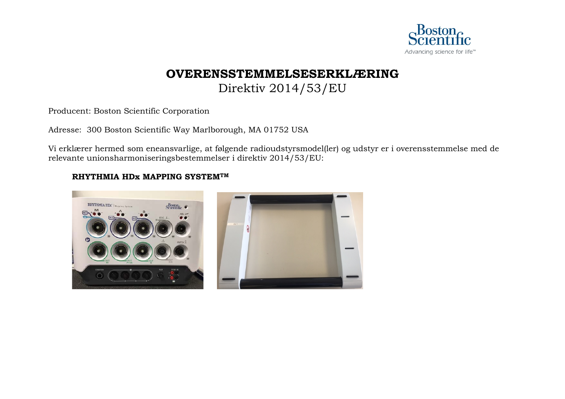

### **OVERENSSTEMMELSESERKLÆRING** Direktiv 2014/53/EU

<span id="page-28-0"></span>Producent: Boston Scientific Corporation

Adresse: 300 Boston Scientific Way Marlborough, MA 01752 USA

Vi erklærer hermed som eneansvarlige, at følgende radioudstyrsmodel(ler) og udstyr er i overensstemmelse med de relevante unionsharmoniseringsbestemmelser i direktiv 2014/53/EU:

### **RHYTHMIA HDx MAPPING SYSTEMTM**

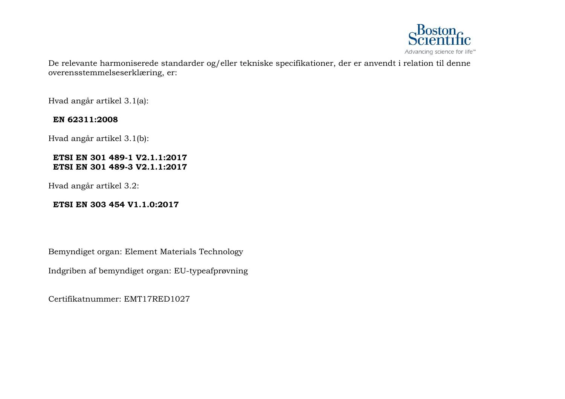

De relevante harmoniserede standarder og/eller tekniske specifikationer, der er anvendt i relation til denne overensstemmelseserklæring, er:

Hvad angår artikel 3.1(a):

### **EN 62311:2008**

Hvad angår artikel 3.1(b):

#### **ETSI EN 301 489-1 V2.1.1:2017 ETSI EN 301 489-3 V2.1.1:2017**

Hvad angår artikel 3.2:

### **ETSI EN 303 454 V1.1.0:2017**

Bemyndiget organ: Element Materials Technology

Indgriben af bemyndiget organ: EU-typeafprøvning

Certifikatnummer: EMT17RED1027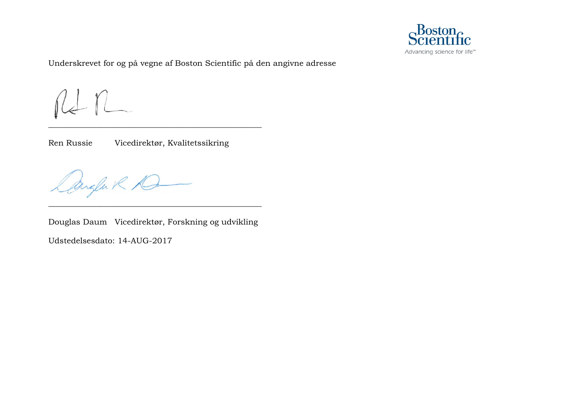

Underskrevet for og på vegne af Boston Scientific på den angivne adresse

 $R_{\pm}$ 

Ren Russie Vicedirektør, Kvalitetssikring

\_\_\_\_\_\_\_\_\_\_\_\_\_\_\_\_\_\_\_\_\_\_\_\_\_\_\_\_\_\_\_\_\_\_\_\_\_\_\_\_\_\_\_\_\_\_\_\_\_\_\_\_\_

Anglak D

Douglas Daum Vicedirektør, Forskning og udvikling

\_\_\_\_\_\_\_\_\_\_\_\_\_\_\_\_\_\_\_\_\_\_\_\_\_\_\_\_\_\_\_\_\_\_\_\_\_\_\_\_\_\_\_\_\_\_\_\_\_\_\_\_\_

Udstedelsesdato: 14-AUG-2017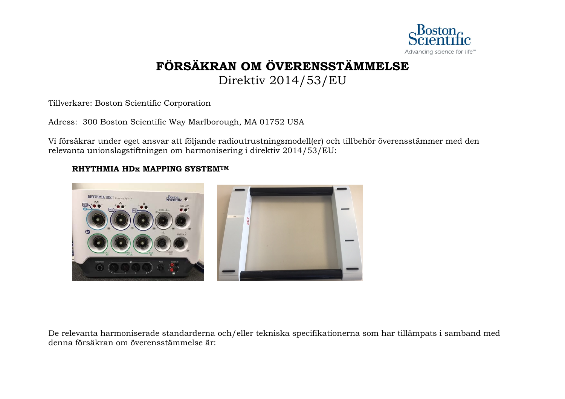

# **FÖRSÄKRAN OM ÖVERENSSTÄMMELSE**

Direktiv 2014/53/EU

<span id="page-31-0"></span>Tillverkare: Boston Scientific Corporation

Adress: 300 Boston Scientific Way Marlborough, MA 01752 USA

Vi försäkrar under eget ansvar att följande radioutrustningsmodell(er) och tillbehör överensstämmer med den relevanta unionslagstiftningen om harmonisering i direktiv 2014/53/EU:

### **RHYTHMIA HDx MAPPING SYSTEMTM**



De relevanta harmoniserade standarderna och/eller tekniska specifikationerna som har tillämpats i samband med denna försäkran om överensstämmelse är: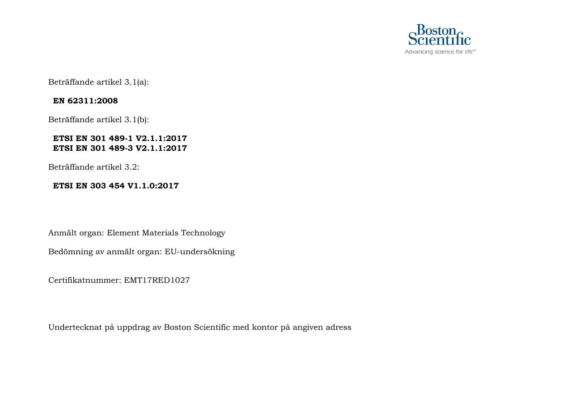

Beträffande artikel 3.1(a):

### **EN 62311:2008**

Beträffande artikel 3.1(b):

### **ETSI EN 301 489-1 V2.1.1:2017 ETSI EN 301 489-3 V2.1.1:2017**

Beträffande artikel 3.2:

### **ETSI EN 303 454 V1.1.0:2017**

Anmält organ: Element Materials Technology

Bedömning av anmält organ: EU-undersökning

Certifikatnummer: EMT17RED1027

Undertecknat på uppdrag av Boston Scientific med kontor på angiven adress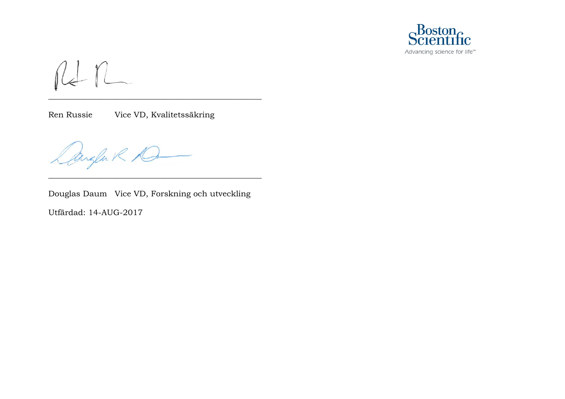

 $n+n$ 

Ren Russie Vice VD, Kvalitetssäkring

Dangen R D

Douglas Daum Vice VD, Forskning och utveckling

\_\_\_\_\_\_\_\_\_\_\_\_\_\_\_\_\_\_\_\_\_\_\_\_\_\_\_\_\_\_\_\_\_\_\_\_\_\_\_\_\_\_\_\_\_\_\_\_\_\_\_\_\_

\_\_\_\_\_\_\_\_\_\_\_\_\_\_\_\_\_\_\_\_\_\_\_\_\_\_\_\_\_\_\_\_\_\_\_\_\_\_\_\_\_\_\_\_\_\_\_\_\_\_\_\_\_

Utfärdad: 14-AUG-2017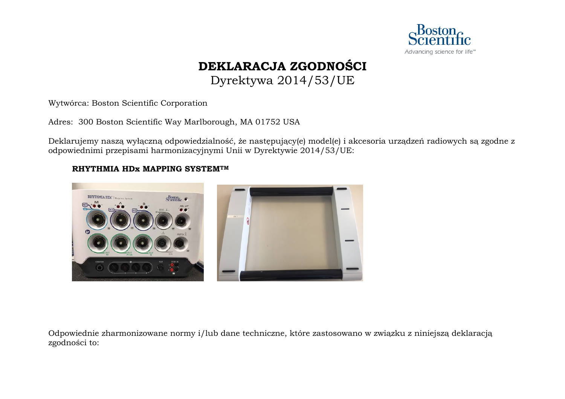

### **DEKLARACJA ZGODNOŚCI** Dyrektywa 2014/53/UE

<span id="page-34-0"></span>Wytwórca: Boston Scientific Corporation

Adres: 300 Boston Scientific Way Marlborough, MA 01752 USA

Deklarujemy naszą wyłączną odpowiedzialność, że następujący(e) model(e) i akcesoria urządzeń radiowych są zgodne z odpowiednimi przepisami harmonizacyjnymi Unii w Dyrektywie 2014/53/UE:

### **RHYTHMIA HDx MAPPING SYSTEMTM**



Odpowiednie zharmonizowane normy i/lub dane techniczne, które zastosowano w związku z niniejszą deklaracją zgodności to: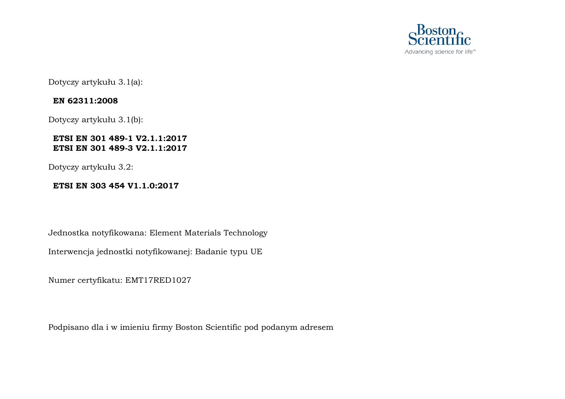

Dotyczy artykułu 3.1(a):

### **EN 62311:2008**

Dotyczy artykułu 3.1(b):

### **ETSI EN 301 489-1 V2.1.1:2017 ETSI EN 301 489-3 V2.1.1:2017**

Dotyczy artykułu 3.2:

### **ETSI EN 303 454 V1.1.0:2017**

Jednostka notyfikowana: Element Materials Technology

Interwencja jednostki notyfikowanej: Badanie typu UE

Numer certyfikatu: EMT17RED1027

Podpisano dla i w imieniu firmy Boston Scientific pod podanym adresem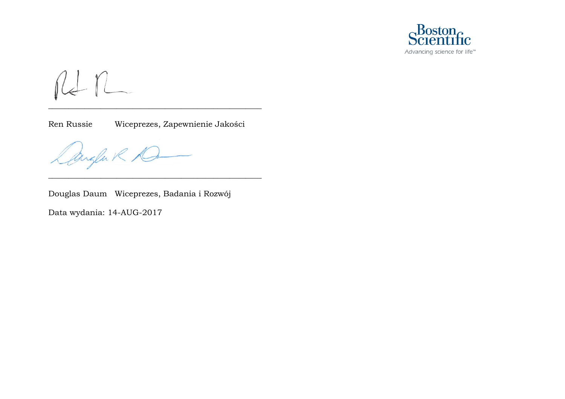

RIn

Ren Russie Wiceprezes, Zapewnienie Jakości

\_\_\_\_\_\_\_\_\_\_\_\_\_\_\_\_\_\_\_\_\_\_\_\_\_\_\_\_\_\_\_\_\_\_\_\_\_\_\_\_\_\_\_\_\_\_\_\_\_\_\_\_\_

\_\_\_\_\_\_\_\_\_\_\_\_\_\_\_\_\_\_\_\_\_\_\_\_\_\_\_\_\_\_\_\_\_\_\_\_\_\_\_\_\_\_\_\_\_\_\_\_\_\_\_\_\_

Angla R R

Douglas Daum Wiceprezes, Badania i Rozwój

Data wydania: 14-AUG-2017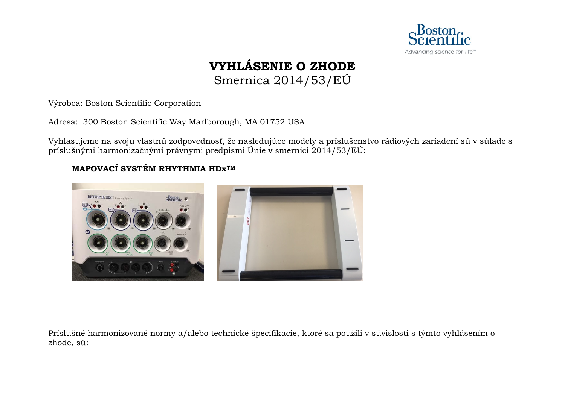

### **VYHLÁSENIE O ZHODE** Smernica 2014/53/EÚ

<span id="page-37-0"></span>Výrobca: Boston Scientific Corporation

Adresa: 300 Boston Scientific Way Marlborough, MA 01752 USA

Vyhlasujeme na svoju vlastnú zodpovednosť, že nasledujúce modely a príslušenstvo rádiových zariadení sú v súlade s príslušnými harmonizačnými právnymi predpismi Únie v smernici 2014/53/EÚ:

### **MAPOVACÍ SYSTÉM RHYTHMIA HDxTM**



Príslušné harmonizované normy a/alebo technické špecifikácie, ktoré sa použili v súvislosti s týmto vyhlásením o zhode, sú: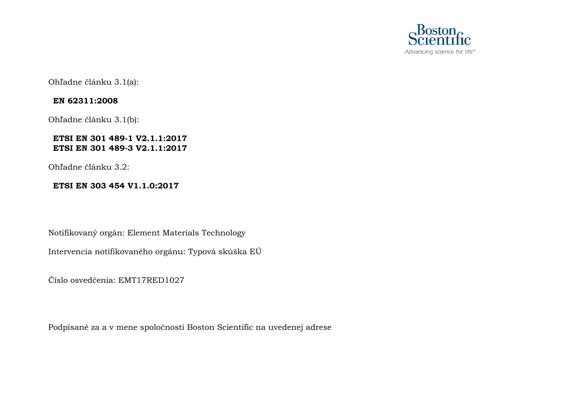

Ohľadne článku 3.1(a):

### **EN 62311:2008**

Ohľadne článku 3.1(b):

### **ETSI EN 301 489-1 V2.1.1:2017 ETSI EN 301 489-3 V2.1.1:2017**

Ohľadne článku 3.2:

### **ETSI EN 303 454 V1.1.0:2017**

Notifikovaný orgán: Element Materials Technology

Intervencia notifikovaného orgánu: Typová skúška EÚ

Číslo osvedčenia: EMT17RED1027

Podpísané za a v mene spoločnosti Boston Scientific na uvedenej adrese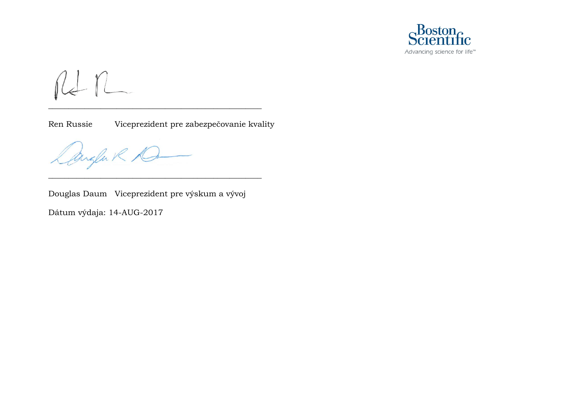

RIn

Ren Russie Viceprezident pre zabezpečovanie kvality

\_\_\_\_\_\_\_\_\_\_\_\_\_\_\_\_\_\_\_\_\_\_\_\_\_\_\_\_\_\_\_\_\_\_\_\_\_\_\_\_\_\_\_\_\_\_\_\_\_\_\_\_\_

Anglak K

Douglas Daum Viceprezident pre výskum a vývoj

\_\_\_\_\_\_\_\_\_\_\_\_\_\_\_\_\_\_\_\_\_\_\_\_\_\_\_\_\_\_\_\_\_\_\_\_\_\_\_\_\_\_\_\_\_\_\_\_\_\_\_\_\_

Dátum výdaja: 14-AUG-2017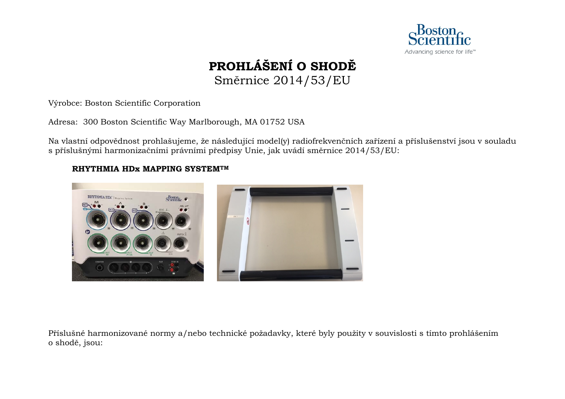

## **PROHLÁŠENÍ O SHODĚ** Směrnice 2014/53/EU

<span id="page-40-0"></span>Výrobce: Boston Scientific Corporation

Adresa: 300 Boston Scientific Way Marlborough, MA 01752 USA

Na vlastní odpovědnost prohlašujeme, že následující model(y) radiofrekvenčních zařízení a příslušenství jsou v souladu s příslušnými harmonizačními právními předpisy Unie, jak uvádí směrnice 2014/53/EU:

### **RHYTHMIA HDx MAPPING SYSTEMTM**



Příslušné harmonizované normy a/nebo technické požadavky, které byly použity v souvislosti s tímto prohlášením o shodě, jsou: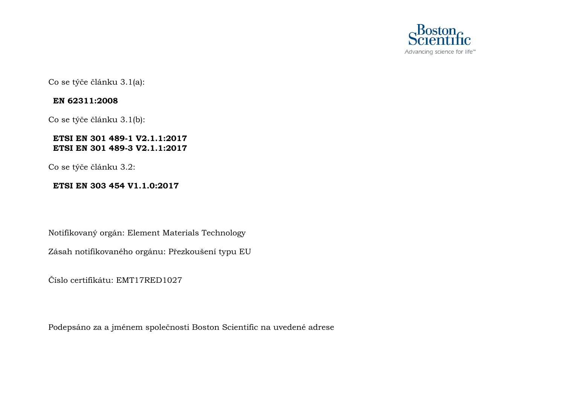

Co se týče článku 3.1(a):

### **EN 62311:2008**

Co se týče článku 3.1(b):

### **ETSI EN 301 489-1 V2.1.1:2017 ETSI EN 301 489-3 V2.1.1:2017**

Co se týče článku 3.2:

### **ETSI EN 303 454 V1.1.0:2017**

Notifikovaný orgán: Element Materials Technology

Zásah notifikovaného orgánu: Přezkoušení typu EU

Číslo certifikátu: EMT17RED1027

Podepsáno za a jménem společnosti Boston Scientific na uvedené adrese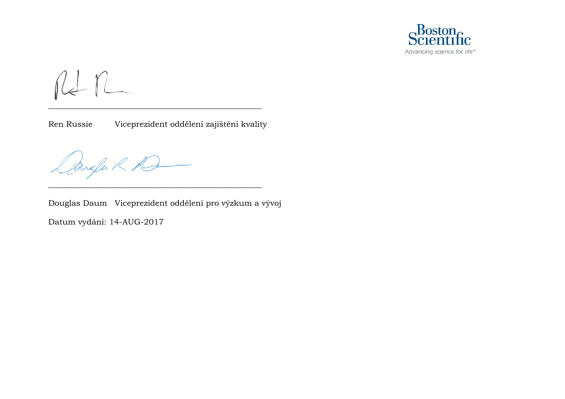

 $n n$ 

Ren Russie Viceprezident oddělení zajištění kvality

\_\_\_\_\_\_\_\_\_\_\_\_\_\_\_\_\_\_\_\_\_\_\_\_\_\_\_\_\_\_\_\_\_\_\_\_\_\_\_\_\_\_\_\_\_\_\_\_\_\_\_\_\_

\_\_\_\_\_\_\_\_\_\_\_\_\_\_\_\_\_\_\_\_\_\_\_\_\_\_\_\_\_\_\_\_\_\_\_\_\_\_\_\_\_\_\_\_\_\_\_\_\_\_\_\_\_

Dangen R D

Douglas Daum Viceprezident oddělení pro výzkum a vývoj Datum vydání: 14-AUG-2017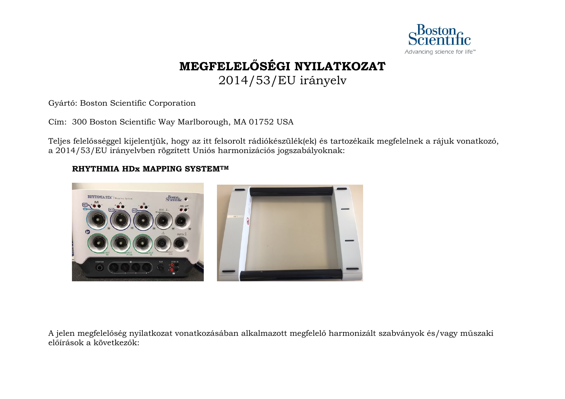

## **MEGFELELŐSÉGI NYILATKOZAT**

2014/53/EU irányelv

<span id="page-43-0"></span>Gyártó: Boston Scientific Corporation

Cím: 300 Boston Scientific Way Marlborough, MA 01752 USA

Teljes felelősséggel kijelentjük, hogy az itt felsorolt rádiókészülék(ek) és tartozékaik megfelelnek a rájuk vonatkozó, a 2014/53/EU irányelvben rögzített Uniós harmonizációs jogszabályoknak:

### **RHYTHMIA HDx MAPPING SYSTEMTM**



A jelen megfelelőség nyilatkozat vonatkozásában alkalmazott megfelelő harmonizált szabványok és/vagy műszaki előírások a következők: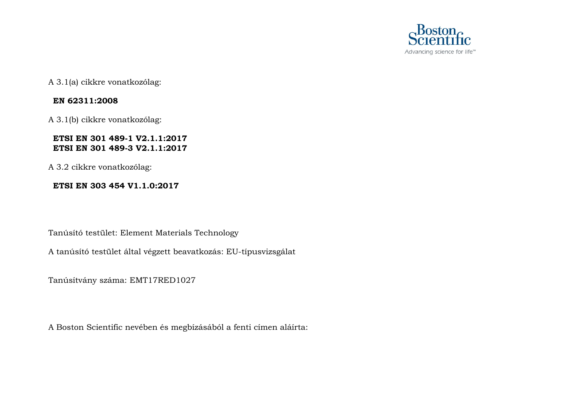

A 3.1(a) cikkre vonatkozólag:

### **EN 62311:2008**

A 3.1(b) cikkre vonatkozólag:

### **ETSI EN 301 489-1 V2.1.1:2017 ETSI EN 301 489-3 V2.1.1:2017**

A 3.2 cikkre vonatkozólag:

### **ETSI EN 303 454 V1.1.0:2017**

Tanúsító testület: Element Materials Technology

A tanúsító testület által végzett beavatkozás: EU-típusvizsgálat

Tanúsítvány száma: EMT17RED1027

A Boston Scientific nevében és megbízásából a fenti címen aláírta: